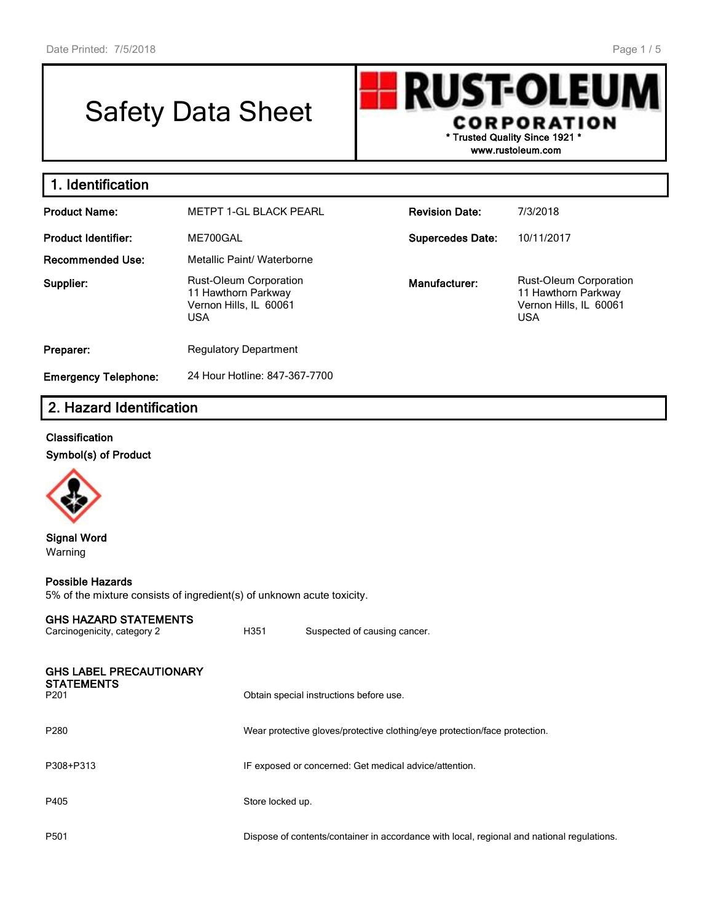# Safety Data Sheet

**RUST-OLEU CORPORATION \* Trusted Quality Since 1921 \***

**www.rustoleum.com**

| 1. Identification           |                                                                                              |                         |                                                                                              |
|-----------------------------|----------------------------------------------------------------------------------------------|-------------------------|----------------------------------------------------------------------------------------------|
| <b>Product Name:</b>        | <b>METPT 1-GL BLACK PEARL</b>                                                                | <b>Revision Date:</b>   | 7/3/2018                                                                                     |
| <b>Product Identifier:</b>  | ME700GAL                                                                                     | <b>Supercedes Date:</b> | 10/11/2017                                                                                   |
| <b>Recommended Use:</b>     | Metallic Paint/ Waterborne                                                                   |                         |                                                                                              |
| Supplier:                   | <b>Rust-Oleum Corporation</b><br>11 Hawthorn Parkway<br>Vernon Hills, IL 60061<br><b>USA</b> | Manufacturer:           | <b>Rust-Oleum Corporation</b><br>11 Hawthorn Parkway<br>Vernon Hills, IL 60061<br><b>USA</b> |
| Preparer:                   | <b>Regulatory Department</b>                                                                 |                         |                                                                                              |
| <b>Emergency Telephone:</b> | 24 Hour Hotline: 847-367-7700                                                                |                         |                                                                                              |

# **2. Hazard Identification**

#### **Classification**

**Symbol(s) of Product**



#### **Signal Word** Warning

#### **Possible Hazards**

5% of the mixture consists of ingredient(s) of unknown acute toxicity.

#### **GHS HAZARD STATEMENTS**

| Carcinogenicity, category 2                                             | H351             | Suspected of causing cancer.                                                               |
|-------------------------------------------------------------------------|------------------|--------------------------------------------------------------------------------------------|
| <b>GHS LABEL PRECAUTIONARY</b><br><b>STATEMENTS</b><br>P <sub>201</sub> |                  | Obtain special instructions before use.                                                    |
| P <sub>280</sub>                                                        |                  | Wear protective gloves/protective clothing/eye protection/face protection.                 |
| P308+P313                                                               |                  | IF exposed or concerned: Get medical advice/attention.                                     |
| P405                                                                    | Store locked up. |                                                                                            |
| P501                                                                    |                  | Dispose of contents/container in accordance with local, regional and national regulations. |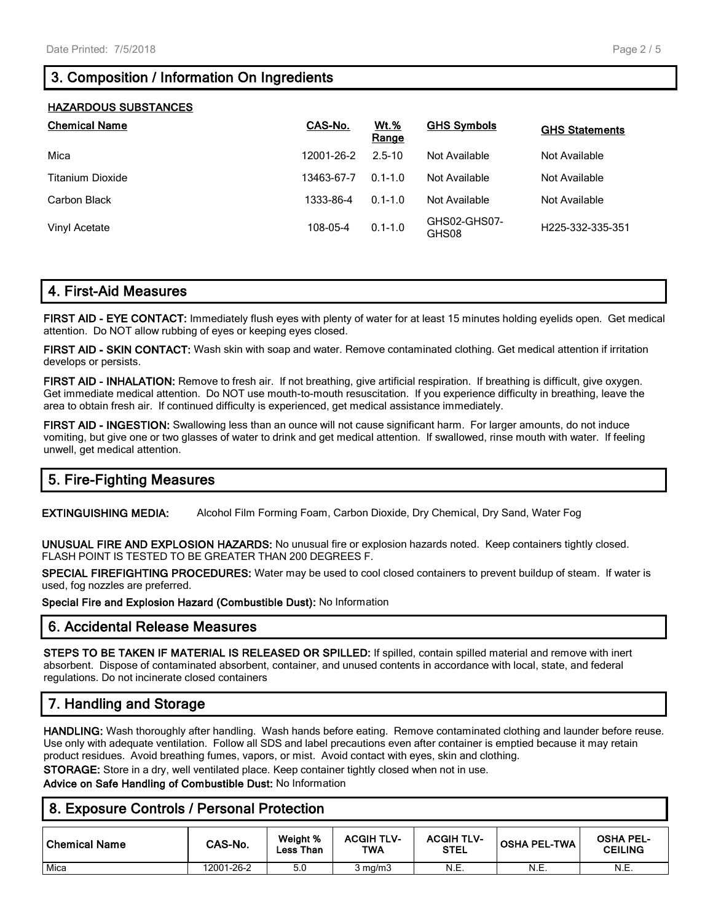# **3. Composition / Information On Ingredients**

| <b>HAZARDOUS SUBSTANCES</b> |            |                      |                       |                       |
|-----------------------------|------------|----------------------|-----------------------|-----------------------|
| <b>Chemical Name</b>        | CAS-No.    | <b>Wt.%</b><br>Range | <b>GHS Symbols</b>    | <b>GHS Statements</b> |
| Mica                        | 12001-26-2 | $2.5 - 10$           | Not Available         | Not Available         |
| Titanium Dioxide            | 13463-67-7 | $0.1 - 1.0$          | Not Available         | Not Available         |
| Carbon Black                | 1333-86-4  | $0.1 - 1.0$          | Not Available         | Not Available         |
| Vinyl Acetate               | 108-05-4   | $0.1 - 1.0$          | GHS02-GHS07-<br>GHS08 | H225-332-335-351      |

## **4. First-Aid Measures**

**FIRST AID - EYE CONTACT:** Immediately flush eyes with plenty of water for at least 15 minutes holding eyelids open. Get medical attention. Do NOT allow rubbing of eyes or keeping eyes closed.

**FIRST AID - SKIN CONTACT:** Wash skin with soap and water. Remove contaminated clothing. Get medical attention if irritation develops or persists.

**FIRST AID - INHALATION:** Remove to fresh air. If not breathing, give artificial respiration. If breathing is difficult, give oxygen. Get immediate medical attention. Do NOT use mouth-to-mouth resuscitation. If you experience difficulty in breathing, leave the area to obtain fresh air. If continued difficulty is experienced, get medical assistance immediately.

**FIRST AID - INGESTION:** Swallowing less than an ounce will not cause significant harm. For larger amounts, do not induce vomiting, but give one or two glasses of water to drink and get medical attention. If swallowed, rinse mouth with water. If feeling unwell, get medical attention.

## **5. Fire-Fighting Measures**

**EXTINGUISHING MEDIA:** Alcohol Film Forming Foam, Carbon Dioxide, Dry Chemical, Dry Sand, Water Fog

**UNUSUAL FIRE AND EXPLOSION HAZARDS:** No unusual fire or explosion hazards noted. Keep containers tightly closed. FLASH POINT IS TESTED TO BE GREATER THAN 200 DEGREES F.

**SPECIAL FIREFIGHTING PROCEDURES:** Water may be used to cool closed containers to prevent buildup of steam. If water is used, fog nozzles are preferred.

**Special Fire and Explosion Hazard (Combustible Dust):** No Information

## **6. Accidental Release Measures**

**STEPS TO BE TAKEN IF MATERIAL IS RELEASED OR SPILLED:** If spilled, contain spilled material and remove with inert absorbent. Dispose of contaminated absorbent, container, and unused contents in accordance with local, state, and federal regulations. Do not incinerate closed containers

## **7. Handling and Storage**

**HANDLING:** Wash thoroughly after handling. Wash hands before eating. Remove contaminated clothing and launder before reuse. Use only with adequate ventilation. Follow all SDS and label precautions even after container is emptied because it may retain product residues. Avoid breathing fumes, vapors, or mist. Avoid contact with eyes, skin and clothing.

**STORAGE:** Store in a dry, well ventilated place. Keep container tightly closed when not in use.

**Advice on Safe Handling of Combustible Dust:** No Information

| 8. Exposure Controls / Personal Protection |            |                       |                          |                                  |                     |                                    |  |
|--------------------------------------------|------------|-----------------------|--------------------------|----------------------------------|---------------------|------------------------------------|--|
| <b>Chemical Name</b>                       | CAS-No.    | Weight %<br>Less Than | <b>ACGIH TLV-</b><br>TWA | <b>ACGIH TLV-</b><br><b>STEL</b> | <b>OSHA PEL-TWA</b> | <b>OSHA PEL-</b><br><b>CEILING</b> |  |
| Mica                                       | 12001-26-2 | 5.0                   | $3 \text{ mg/m}$         | N.E.                             | N.E.                | N.E.                               |  |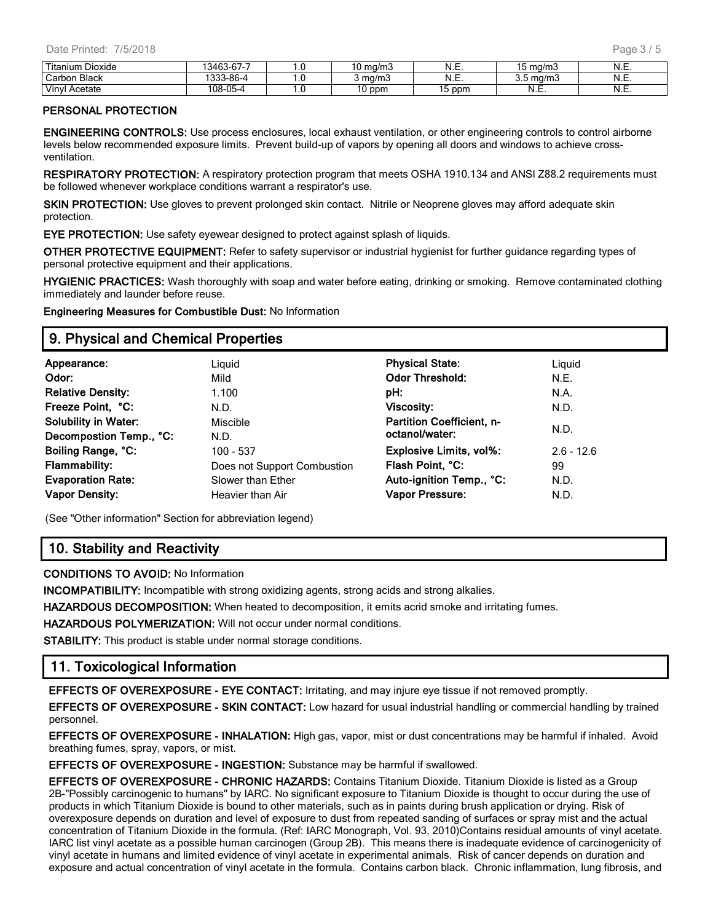| Titaniun.<br>Dioxide  | $\sim$<br>$\sqrt{2}$<br>КÆИ<br>n 1. | . . v | `ma/mJ           | N<br>.        | ma/m          | N<br>.                             |
|-----------------------|-------------------------------------|-------|------------------|---------------|---------------|------------------------------------|
| <b>Black</b><br>Carbo | 3-86-4<br>0.00                      | .     | ma/m             | N<br>.        | ma/m.<br>ັບ.ບ | N<br>. . ∟.                        |
| Vinvl<br>Acetate      | <b>OF</b><br>08                     | .     | nnn<br>ווטע<br>u | ppm<br>∽<br>ີ | N<br>.        | $\overline{\phantom{a}}$<br>N<br>. |

#### **PERSONAL PROTECTION**

**ENGINEERING CONTROLS:** Use process enclosures, local exhaust ventilation, or other engineering controls to control airborne levels below recommended exposure limits. Prevent build-up of vapors by opening all doors and windows to achieve crossventilation.

**RESPIRATORY PROTECTION:** A respiratory protection program that meets OSHA 1910.134 and ANSI Z88.2 requirements must be followed whenever workplace conditions warrant a respirator's use.

**SKIN PROTECTION:** Use gloves to prevent prolonged skin contact. Nitrile or Neoprene gloves may afford adequate skin protection.

**EYE PROTECTION:** Use safety eyewear designed to protect against splash of liquids.

**OTHER PROTECTIVE EQUIPMENT:** Refer to safety supervisor or industrial hygienist for further guidance regarding types of personal protective equipment and their applications.

**HYGIENIC PRACTICES:** Wash thoroughly with soap and water before eating, drinking or smoking. Remove contaminated clothing immediately and launder before reuse.

**Engineering Measures for Combustible Dust:** No Information

#### **9. Physical and Chemical Properties**

| Appearance:                 | Liguid                      | <b>Physical State:</b>         | Liguid       |
|-----------------------------|-----------------------------|--------------------------------|--------------|
| Odor:                       | Mild                        | <b>Odor Threshold:</b>         | N.E.         |
| <b>Relative Density:</b>    | 1.100                       | pH:                            | N.A.         |
| Freeze Point, °C:           | N.D.                        | <b>Viscosity:</b>              | N.D.         |
| <b>Solubility in Water:</b> | Miscible                    | Partition Coefficient, n-      |              |
| Decompostion Temp., °C:     | N.D.                        | octanol/water:                 | N.D.         |
| Boiling Range, °C:          | 100 - 537                   | <b>Explosive Limits, vol%:</b> | $2.6 - 12.6$ |
| <b>Flammability:</b>        | Does not Support Combustion | Flash Point, °C:               | 99           |
| <b>Evaporation Rate:</b>    | Slower than Ether           | Auto-ignition Temp., °C:       | N.D.         |
| <b>Vapor Density:</b>       | Heavier than Air            | Vapor Pressure:                | N.D.         |

(See "Other information" Section for abbreviation legend)

## **10. Stability and Reactivity**

**CONDITIONS TO AVOID:** No Information

**INCOMPATIBILITY:** Incompatible with strong oxidizing agents, strong acids and strong alkalies.

**HAZARDOUS DECOMPOSITION:** When heated to decomposition, it emits acrid smoke and irritating fumes.

**HAZARDOUS POLYMERIZATION:** Will not occur under normal conditions.

**STABILITY:** This product is stable under normal storage conditions.

#### **11. Toxicological Information**

**EFFECTS OF OVEREXPOSURE - EYE CONTACT:** Irritating, and may injure eye tissue if not removed promptly.

**EFFECTS OF OVEREXPOSURE - SKIN CONTACT:** Low hazard for usual industrial handling or commercial handling by trained personnel.

**EFFECTS OF OVEREXPOSURE - INHALATION:** High gas, vapor, mist or dust concentrations may be harmful if inhaled. Avoid breathing fumes, spray, vapors, or mist.

**EFFECTS OF OVEREXPOSURE - INGESTION:** Substance may be harmful if swallowed.

**EFFECTS OF OVEREXPOSURE - CHRONIC HAZARDS:** Contains Titanium Dioxide. Titanium Dioxide is listed as a Group 2B-"Possibly carcinogenic to humans" by IARC. No significant exposure to Titanium Dioxide is thought to occur during the use of products in which Titanium Dioxide is bound to other materials, such as in paints during brush application or drying. Risk of overexposure depends on duration and level of exposure to dust from repeated sanding of surfaces or spray mist and the actual concentration of Titanium Dioxide in the formula. (Ref: IARC Monograph, Vol. 93, 2010)Contains residual amounts of vinyl acetate. IARC list vinyl acetate as a possible human carcinogen (Group 2B). This means there is inadequate evidence of carcinogenicity of vinyl acetate in humans and limited evidence of vinyl acetate in experimental animals. Risk of cancer depends on duration and exposure and actual concentration of vinyl acetate in the formula. Contains carbon black. Chronic inflammation, lung fibrosis, and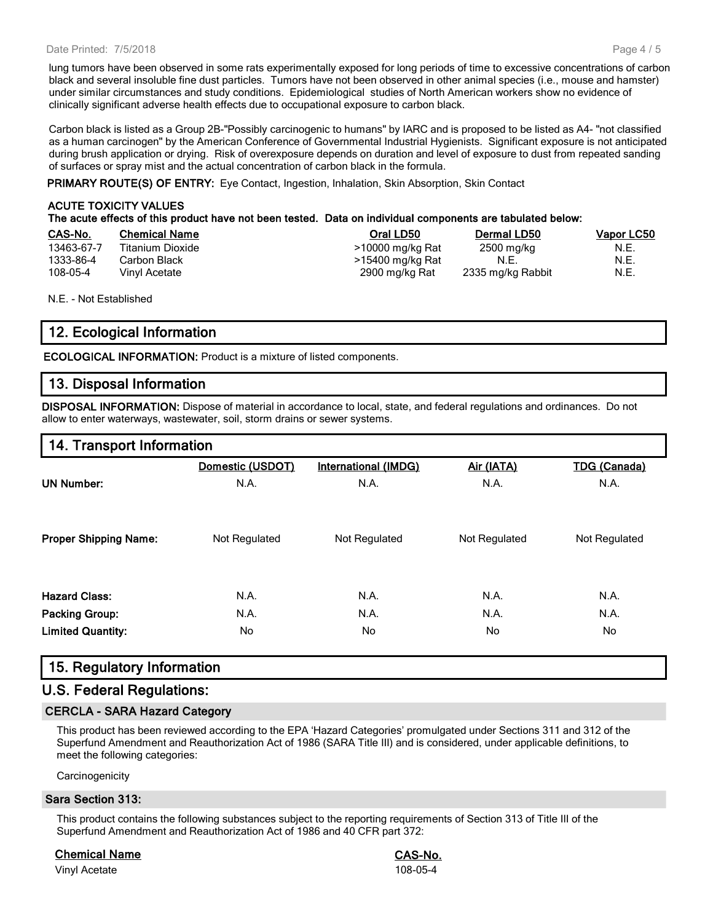#### Date Printed: 7/5/2018

lung tumors have been observed in some rats experimentally exposed for long periods of time to excessive concentrations of carbon black and several insoluble fine dust particles. Tumors have not been observed in other animal species (i.e., mouse and hamster) under similar circumstances and study conditions. Epidemiological studies of North American workers show no evidence of clinically significant adverse health effects due to occupational exposure to carbon black.

Carbon black is listed as a Group 2B-"Possibly carcinogenic to humans" by IARC and is proposed to be listed as A4- "not classified as a human carcinogen" by the American Conference of Governmental Industrial Hygienists. Significant exposure is not anticipated during brush application or drying. Risk of overexposure depends on duration and level of exposure to dust from repeated sanding of surfaces or spray mist and the actual concentration of carbon black in the formula.

**PRIMARY ROUTE(S) OF ENTRY:** Eye Contact, Ingestion, Inhalation, Skin Absorption, Skin Contact

#### **ACUTE TOXICITY VALUES The acute effects of this product have not been tested. Data on individual components are tabulated below: CAS-No. Chemical Name Oral LD50 Dermal LD50 Vapor LC50** 13463-67-7 Titanium Dioxide **12000 mg/kg Rat 2500 mg/kg Rat** 2500 mg/kg Pat 11.E. 1333-86-4 Carbon Black **Carbon Black 1333-86-4** Carbon Black **N.E.** N.E. N.E. 108-05-4 Vinyl Acetate 2900 mg/kg Rat 2335 mg/kg Rabbit N.E.

N.E. - Not Established

## **12. Ecological Information**

**ECOLOGICAL INFORMATION:** Product is a mixture of listed components.

## **13. Disposal Information**

**DISPOSAL INFORMATION:** Dispose of material in accordance to local, state, and federal regulations and ordinances. Do not allow to enter waterways, wastewater, soil, storm drains or sewer systems.

## **14. Transport Information**

|                              | Domestic (USDOT) | International (IMDG) | Air (IATA)    | <b>TDG (Canada)</b> |
|------------------------------|------------------|----------------------|---------------|---------------------|
| <b>UN Number:</b>            | N.A.             | N.A.                 | N.A.          | N.A.                |
| <b>Proper Shipping Name:</b> | Not Regulated    | Not Regulated        | Not Regulated | Not Regulated       |
| <b>Hazard Class:</b>         | N.A.             | N.A.                 | N.A.          | N.A.                |
| <b>Packing Group:</b>        | N.A.             | N.A.                 | N.A.          | N.A.                |
| <b>Limited Quantity:</b>     | No               | No                   | No            | No                  |

## **15. Regulatory Information**

## **U.S. Federal Regulations:**

#### **CERCLA - SARA Hazard Category**

This product has been reviewed according to the EPA 'Hazard Categories' promulgated under Sections 311 and 312 of the Superfund Amendment and Reauthorization Act of 1986 (SARA Title III) and is considered, under applicable definitions, to meet the following categories:

**Carcinogenicity** 

#### **Sara Section 313:**

This product contains the following substances subject to the reporting requirements of Section 313 of Title III of the Superfund Amendment and Reauthorization Act of 1986 and 40 CFR part 372:

#### **Chemical Name CAS-No.**

Vinyl Acetate 108-05-4